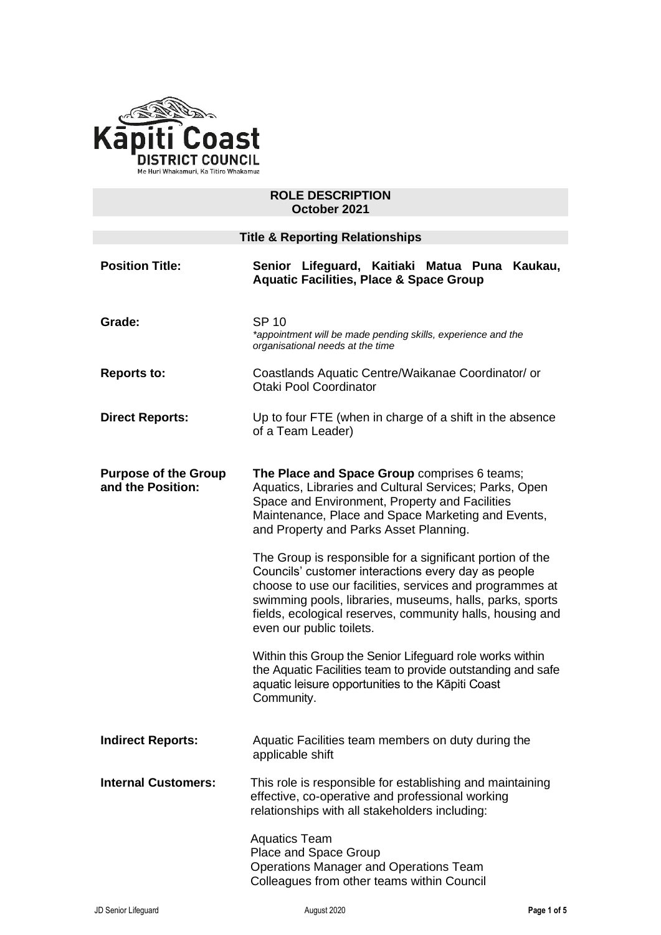

### **ROLE DESCRIPTION October 2021**

| <b>Title &amp; Reporting Relationships</b>       |                                                                                                                                                                                                                                                                                                                                                                                                                                                                                                                                                                                                                                                                                                                                                                               |
|--------------------------------------------------|-------------------------------------------------------------------------------------------------------------------------------------------------------------------------------------------------------------------------------------------------------------------------------------------------------------------------------------------------------------------------------------------------------------------------------------------------------------------------------------------------------------------------------------------------------------------------------------------------------------------------------------------------------------------------------------------------------------------------------------------------------------------------------|
| <b>Position Title:</b>                           | Senior Lifeguard, Kaitiaki Matua Puna Kaukau,<br><b>Aquatic Facilities, Place &amp; Space Group</b>                                                                                                                                                                                                                                                                                                                                                                                                                                                                                                                                                                                                                                                                           |
| Grade:                                           | <b>SP 10</b><br>*appointment will be made pending skills, experience and the<br>organisational needs at the time                                                                                                                                                                                                                                                                                                                                                                                                                                                                                                                                                                                                                                                              |
| <b>Reports to:</b>                               | Coastlands Aquatic Centre/Waikanae Coordinator/ or<br><b>Otaki Pool Coordinator</b>                                                                                                                                                                                                                                                                                                                                                                                                                                                                                                                                                                                                                                                                                           |
| <b>Direct Reports:</b>                           | Up to four FTE (when in charge of a shift in the absence<br>of a Team Leader)                                                                                                                                                                                                                                                                                                                                                                                                                                                                                                                                                                                                                                                                                                 |
| <b>Purpose of the Group</b><br>and the Position: | The Place and Space Group comprises 6 teams;<br>Aquatics, Libraries and Cultural Services; Parks, Open<br>Space and Environment, Property and Facilities<br>Maintenance, Place and Space Marketing and Events,<br>and Property and Parks Asset Planning.<br>The Group is responsible for a significant portion of the<br>Councils' customer interactions every day as people<br>choose to use our facilities, services and programmes at<br>swimming pools, libraries, museums, halls, parks, sports<br>fields, ecological reserves, community halls, housing and<br>even our public toilets.<br>Within this Group the Senior Lifeguard role works within<br>the Aquatic Facilities team to provide outstanding and safe<br>aquatic leisure opportunities to the Kāpiti Coast |
| <b>Indirect Reports:</b>                         | Community.<br>Aquatic Facilities team members on duty during the<br>applicable shift                                                                                                                                                                                                                                                                                                                                                                                                                                                                                                                                                                                                                                                                                          |
| <b>Internal Customers:</b>                       | This role is responsible for establishing and maintaining<br>effective, co-operative and professional working<br>relationships with all stakeholders including:                                                                                                                                                                                                                                                                                                                                                                                                                                                                                                                                                                                                               |
|                                                  | <b>Aquatics Team</b><br>Place and Space Group<br>Operations Manager and Operations Team<br>Colleagues from other teams within Council                                                                                                                                                                                                                                                                                                                                                                                                                                                                                                                                                                                                                                         |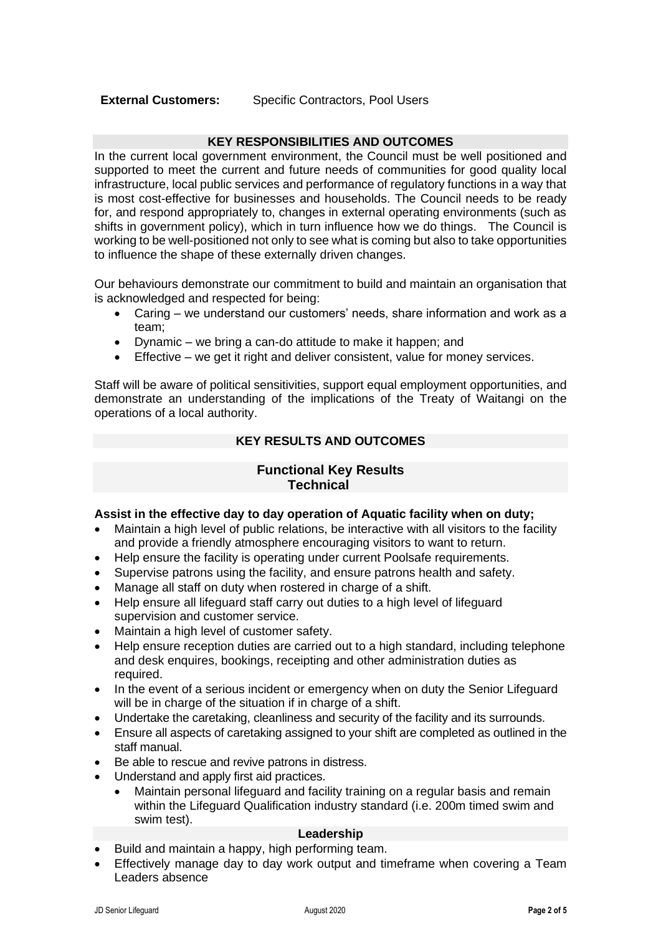# **KEY RESPONSIBILITIES AND OUTCOMES**

In the current local government environment, the Council must be well positioned and supported to meet the current and future needs of communities for good quality local infrastructure, local public services and performance of regulatory functions in a way that is most cost-effective for businesses and households. The Council needs to be ready for, and respond appropriately to, changes in external operating environments (such as shifts in government policy), which in turn influence how we do things. The Council is working to be well-positioned not only to see what is coming but also to take opportunities to influence the shape of these externally driven changes.

Our behaviours demonstrate our commitment to build and maintain an organisation that is acknowledged and respected for being:

- Caring we understand our customers' needs, share information and work as a team;
- Dynamic we bring a can-do attitude to make it happen; and
- Effective we get it right and deliver consistent, value for money services.

Staff will be aware of political sensitivities, support equal employment opportunities, and demonstrate an understanding of the implications of the Treaty of Waitangi on the operations of a local authority.

# **KEY RESULTS AND OUTCOMES**

# **Functional Key Results Technical**

# **Assist in the effective day to day operation of Aquatic facility when on duty;**

- Maintain a high level of public relations, be interactive with all visitors to the facility and provide a friendly atmosphere encouraging visitors to want to return.
- Help ensure the facility is operating under current Poolsafe requirements.
- Supervise patrons using the facility, and ensure patrons health and safety.
- Manage all staff on duty when rostered in charge of a shift.
- Help ensure all lifeguard staff carry out duties to a high level of lifeguard supervision and customer service.
- Maintain a high level of customer safety.
- Help ensure reception duties are carried out to a high standard, including telephone and desk enquires, bookings, receipting and other administration duties as required.
- In the event of a serious incident or emergency when on duty the Senior Lifeguard will be in charge of the situation if in charge of a shift.
- Undertake the caretaking, cleanliness and security of the facility and its surrounds.
- Ensure all aspects of caretaking assigned to your shift are completed as outlined in the staff manual.
- Be able to rescue and revive patrons in distress.
- Understand and apply first aid practices.
	- Maintain personal lifeguard and facility training on a regular basis and remain within the Lifeguard Qualification industry standard (i.e. 200m timed swim and swim test).

# **Leadership**

- Build and maintain a happy, high performing team.
- Effectively manage day to day work output and timeframe when covering a Team Leaders absence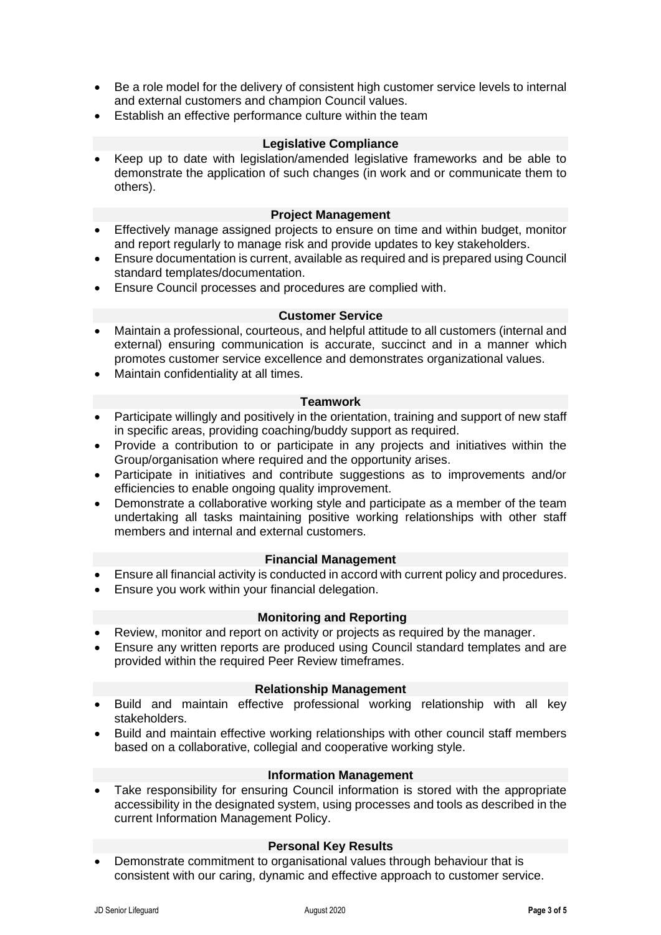- Be a role model for the delivery of consistent high customer service levels to internal and external customers and champion Council values.
- Establish an effective performance culture within the team

### **Legislative Compliance**

• Keep up to date with legislation/amended legislative frameworks and be able to demonstrate the application of such changes (in work and or communicate them to others).

### **Project Management**

- Effectively manage assigned projects to ensure on time and within budget, monitor and report regularly to manage risk and provide updates to key stakeholders.
- Ensure documentation is current, available as required and is prepared using Council standard templates/documentation.
- Ensure Council processes and procedures are complied with.

#### **Customer Service**

- Maintain a professional, courteous, and helpful attitude to all customers (internal and external) ensuring communication is accurate, succinct and in a manner which promotes customer service excellence and demonstrates organizational values.
- Maintain confidentiality at all times.

#### **Teamwork**

- Participate willingly and positively in the orientation, training and support of new staff in specific areas, providing coaching/buddy support as required.
- Provide a contribution to or participate in any projects and initiatives within the Group/organisation where required and the opportunity arises.
- Participate in initiatives and contribute suggestions as to improvements and/or efficiencies to enable ongoing quality improvement.
- Demonstrate a collaborative working style and participate as a member of the team undertaking all tasks maintaining positive working relationships with other staff members and internal and external customers.

#### **Financial Management**

- Ensure all financial activity is conducted in accord with current policy and procedures.
- Ensure you work within your financial delegation.

#### **Monitoring and Reporting**

- Review, monitor and report on activity or projects as required by the manager.
- Ensure any written reports are produced using Council standard templates and are provided within the required Peer Review timeframes.

### **Relationship Management**

- Build and maintain effective professional working relationship with all key stakeholders.
- Build and maintain effective working relationships with other council staff members based on a collaborative, collegial and cooperative working style.

### **Information Management**

• Take responsibility for ensuring Council information is stored with the appropriate accessibility in the designated system, using processes and tools as described in the current Information Management Policy.

#### **Personal Key Results**

• Demonstrate commitment to organisational values through behaviour that is consistent with our caring, dynamic and effective approach to customer service.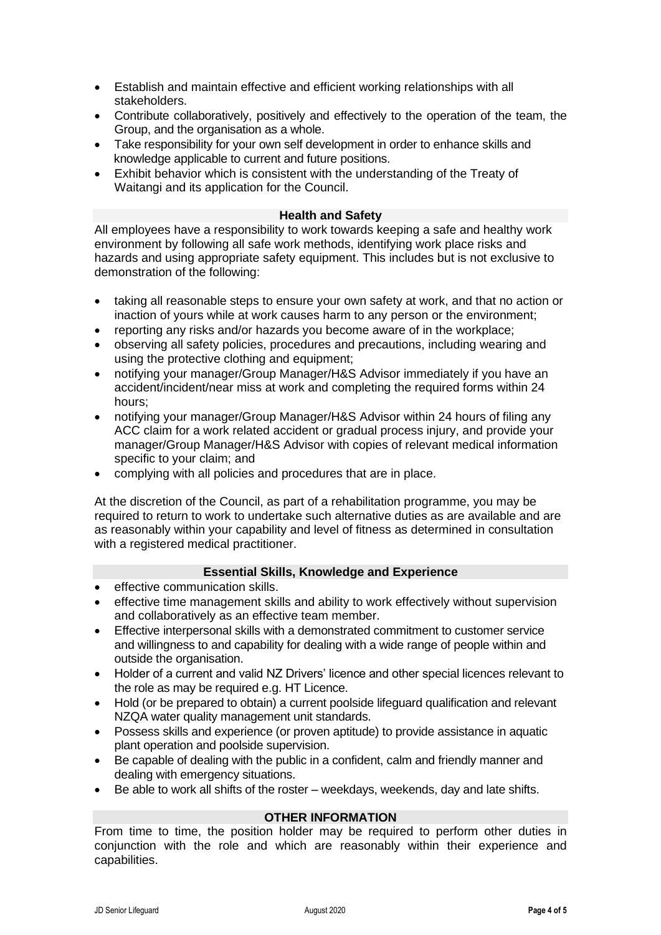- Establish and maintain effective and efficient working relationships with all stakeholders.
- Contribute collaboratively, positively and effectively to the operation of the team, the Group, and the organisation as a whole.
- Take responsibility for your own self development in order to enhance skills and knowledge applicable to current and future positions.
- Exhibit behavior which is consistent with the understanding of the Treaty of Waitangi and its application for the Council.

### **Health and Safety**

All employees have a responsibility to work towards keeping a safe and healthy work environment by following all safe work methods, identifying work place risks and hazards and using appropriate safety equipment. This includes but is not exclusive to demonstration of the following:

- taking all reasonable steps to ensure your own safety at work, and that no action or inaction of yours while at work causes harm to any person or the environment;
- reporting any risks and/or hazards you become aware of in the workplace;
- observing all safety policies, procedures and precautions, including wearing and using the protective clothing and equipment;
- notifying your manager/Group Manager/H&S Advisor immediately if you have an accident/incident/near miss at work and completing the required forms within 24 hours;
- notifying your manager/Group Manager/H&S Advisor within 24 hours of filing any ACC claim for a work related accident or gradual process injury, and provide your manager/Group Manager/H&S Advisor with copies of relevant medical information specific to your claim; and
- complying with all policies and procedures that are in place.

At the discretion of the Council, as part of a rehabilitation programme, you may be required to return to work to undertake such alternative duties as are available and are as reasonably within your capability and level of fitness as determined in consultation with a registered medical practitioner.

#### **Essential Skills, Knowledge and Experience**

- effective communication skills.
- effective time management skills and ability to work effectively without supervision and collaboratively as an effective team member.
- Effective interpersonal skills with a demonstrated commitment to customer service and willingness to and capability for dealing with a wide range of people within and outside the organisation.
- Holder of a current and valid NZ Drivers' licence and other special licences relevant to the role as may be required e.g. HT Licence.
- Hold (or be prepared to obtain) a current poolside lifeguard qualification and relevant NZQA water quality management unit standards.
- Possess skills and experience (or proven aptitude) to provide assistance in aquatic plant operation and poolside supervision.
- Be capable of dealing with the public in a confident, calm and friendly manner and dealing with emergency situations.
- Be able to work all shifts of the roster weekdays, weekends, day and late shifts.

# **OTHER INFORMATION**

From time to time, the position holder may be required to perform other duties in conjunction with the role and which are reasonably within their experience and capabilities.